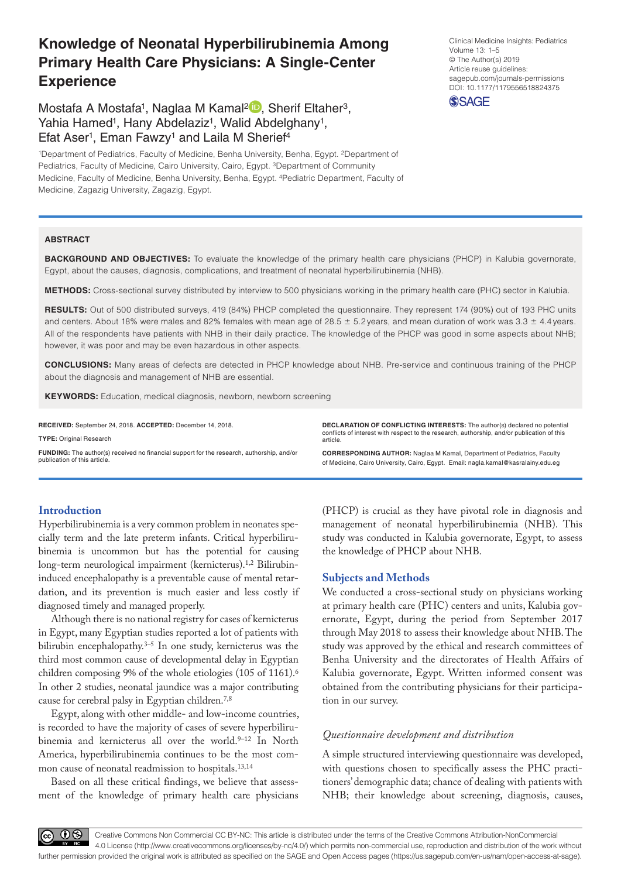# **Knowledge of Neonatal Hyperbilirubinemia Among Primary Health Care Physicians: A Single-Center Experience**

Mostafa A Mostafa<sup>1</sup>, Naglaa M Kamal<sup>2</sup><sup>D</sup>, Sherif Eltaher<sup>3</sup>. Yahia Hamed<sup>1</sup>, Hany Abdelaziz<sup>1</sup>, Walid Abdelghany<sup>1</sup>, Efat Aser<sup>1</sup>, Eman Fawzy<sup>1</sup> and Laila M Sherief<sup>4</sup>

1Department of Pediatrics, Faculty of Medicine, Benha University, Benha, Egypt. 2Department of Pediatrics, Faculty of Medicine, Cairo University, Cairo, Egypt. <sup>3</sup>Department of Community Medicine, Faculty of Medicine, Benha University, Benha, Egypt. 4Pediatric Department, Faculty of Medicine, Zagazig University, Zagazig, Egypt.

### **ABSTRACT**

**BACKGROUND AND OBJECTIVES:** To evaluate the knowledge of the primary health care physicians (PHCP) in Kalubia governorate, Egypt, about the causes, diagnosis, complications, and treatment of neonatal hyperbilirubinemia (NHB).

**Methods:** Cross-sectional survey distributed by interview to 500 physicians working in the primary health care (PHC) sector in Kalubia.

RESULTS: Out of 500 distributed surveys, 419 (84%) PHCP completed the questionnaire. They represent 174 (90%) out of 193 PHC units and centers. About 18% were males and 82% females with mean age of 28.5  $\pm$  5.2 years, and mean duration of work was 3.3  $\pm$  4.4 years. All of the respondents have patients with NHB in their daily practice. The knowledge of the PHCP was good in some aspects about NHB; however, it was poor and may be even hazardous in other aspects.

**Conclusions:** Many areas of defects are detected in PHCP knowledge about NHB. Pre-service and continuous training of the PHCP about the diagnosis and management of NHB are essential.

article.

**KEYWORDS:** Education, medical diagnosis, newborn, newborn screening

**RECEIVED:** September 24, 2018. **ACCEPTED:** December 14, 2018.

**Type:** Original Research

**Funding:** The author(s) received no financial support for the research, authorship, and/or publication of this article.

# **Introduction**

Hyperbilirubinemia is a very common problem in neonates specially term and the late preterm infants. Critical hyperbilirubinemia is uncommon but has the potential for causing long-term neurological impairment (kernicterus).1,2 Bilirubininduced encephalopathy is a preventable cause of mental retardation, and its prevention is much easier and less costly if diagnosed timely and managed properly.

Although there is no national registry for cases of kernicterus in Egypt, many Egyptian studies reported a lot of patients with bilirubin encephalopathy.3–5 In one study, kernicterus was the third most common cause of developmental delay in Egyptian children composing 9% of the whole etiologies (105 of 1161).<sup>6</sup> In other 2 studies, neonatal jaundice was a major contributing cause for cerebral palsy in Egyptian children.7,8

Egypt, along with other middle- and low-income countries, is recorded to have the majority of cases of severe hyperbilirubinemia and kernicterus all over the world.<sup>9-12</sup> In North America, hyperbilirubinemia continues to be the most common cause of neonatal readmission to hospitals.13,14

Based on all these critical findings, we believe that assessment of the knowledge of primary health care physicians (PHCP) is crucial as they have pivotal role in diagnosis and management of neonatal hyperbilirubinemia (NHB). This study was conducted in Kalubia governorate, Egypt, to assess the knowledge of PHCP about NHB.

**DECLARATION OF CONFLICTING INTERESTS:** The author(s) declared no potential conflicts of interest with respect to the research, authorship, and/or publication of this

**CORRESPONDING AUTHOR:** Naglaa M Kamal, Department of Pediatrics, Faculty of Medicine, Cairo University, Cairo, Egypt. Email: [nagla.kamal@kasralainy.edu.eg](mailto:nagla.kamal@kasralainy.edu.eg)

### **Subjects and Methods**

We conducted a cross-sectional study on physicians working at primary health care (PHC) centers and units, Kalubia governorate, Egypt, during the period from September 2017 through May 2018 to assess their knowledge about NHB. The study was approved by the ethical and research committees of Benha University and the directorates of Health Affairs of Kalubia governorate, Egypt. Written informed consent was obtained from the contributing physicians for their participation in our survey.

# *Questionnaire development and distribution*

A simple structured interviewing questionnaire was developed, with questions chosen to specifically assess the PHC practitioners' demographic data; chance of dealing with patients with NHB; their knowledge about screening, diagnosis, causes,

Article reuse guidelines: [sagepub.com/journals-permissions](https://uk.sagepub.com/en-gb/journals-permissions) DOI: 10.1177/1179556518824375 **SSAGE** 

Clinical Medicine Insights: Pediatrics

Volume 13: 1–5 © The Author(s) 2019



Creative Commons Non Commercial CC BY-NC: This article is distributed under the terms of the Creative Commons Attribution-NonCommercial  $BY$ 4.0 License (http://www.creativecommons.org/licenses/by-nc/4.0/) which permits non-commercial use, reproduction and distribution of the work without further permission provided the original work is attributed as specified on the SAGE and Open Access pages (https://us.sagepub.com/en-us/nam/open-access-at-sage).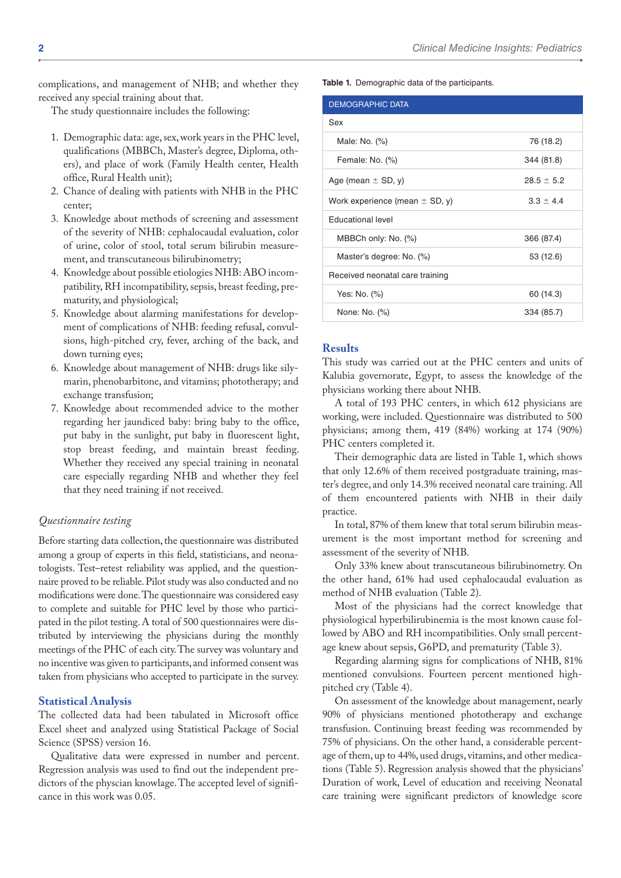complications, and management of NHB; and whether they received any special training about that.

The study questionnaire includes the following:

- 1. Demographic data: age, sex, work years in the PHC level, qualifications (MBBCh, Master's degree, Diploma, others), and place of work (Family Health center, Health office, Rural Health unit);
- 2. Chance of dealing with patients with NHB in the PHC center;
- 3. Knowledge about methods of screening and assessment of the severity of NHB: cephalocaudal evaluation, color of urine, color of stool, total serum bilirubin measurement, and transcutaneous bilirubinometry;
- 4. Knowledge about possible etiologies NHB: ABO incompatibility, RH incompatibility, sepsis, breast feeding, prematurity, and physiological;
- 5. Knowledge about alarming manifestations for development of complications of NHB: feeding refusal, convulsions, high-pitched cry, fever, arching of the back, and down turning eyes;
- 6. Knowledge about management of NHB: drugs like silymarin, phenobarbitone, and vitamins; phototherapy; and exchange transfusion;
- 7. Knowledge about recommended advice to the mother regarding her jaundiced baby: bring baby to the office, put baby in the sunlight, put baby in fluorescent light, stop breast feeding, and maintain breast feeding. Whether they received any special training in neonatal care especially regarding NHB and whether they feel that they need training if not received.

# *Questionnaire testing*

Before starting data collection, the questionnaire was distributed among a group of experts in this field, statisticians, and neonatologists. Test–retest reliability was applied, and the questionnaire proved to be reliable. Pilot study was also conducted and no modifications were done. The questionnaire was considered easy to complete and suitable for PHC level by those who participated in the pilot testing. A total of 500 questionnaires were distributed by interviewing the physicians during the monthly meetings of the PHC of each city. The survey was voluntary and no incentive was given to participants, and informed consent was taken from physicians who accepted to participate in the survey.

# **Statistical Analysis**

The collected data had been tabulated in Microsoft office Excel sheet and analyzed using Statistical Package of Social Science (SPSS) version 16.

Qualitative data were expressed in number and percent. Regression analysis was used to find out the independent predictors of the physcian knowlage. The accepted level of significance in this work was 0.05.

**Table 1.** Demographic data of the participants.

| 76 (18.2)      |
|----------------|
| 344 (81.8)     |
| $28.5 \pm 5.2$ |
| $3.3 \pm 4.4$  |
|                |
| 366 (87.4)     |
| 53 (12.6)      |
|                |
| 60 (14.3)      |
| 334 (85.7)     |
|                |

# **Results**

This study was carried out at the PHC centers and units of Kalubia governorate, Egypt, to assess the knowledge of the physicians working there about NHB.

A total of 193 PHC centers, in which 612 physicians are working, were included. Questionnaire was distributed to 500 physicians; among them, 419 (84%) working at 174 (90%) PHC centers completed it.

Their demographic data are listed in Table 1, which shows that only 12.6% of them received postgraduate training, master's degree, and only 14.3% received neonatal care training. All of them encountered patients with NHB in their daily practice.

In total, 87% of them knew that total serum bilirubin measurement is the most important method for screening and assessment of the severity of NHB.

Only 33% knew about transcutaneous bilirubinometry. On the other hand, 61% had used cephalocaudal evaluation as method of NHB evaluation (Table 2).

Most of the physicians had the correct knowledge that physiological hyperbilirubinemia is the most known cause followed by ABO and RH incompatibilities. Only small percentage knew about sepsis, G6PD, and prematurity (Table 3).

Regarding alarming signs for complications of NHB, 81% mentioned convulsions. Fourteen percent mentioned highpitched cry (Table 4).

On assessment of the knowledge about management, nearly 90% of physicians mentioned phototherapy and exchange transfusion. Continuing breast feeding was recommended by 75% of physicians. On the other hand, a considerable percentage of them, up to 44%, used drugs, vitamins, and other medications (Table 5). Regression analysis showed that the physicians' Duration of work, Level of education and receiving Neonatal care training were significant predictors of knowledge score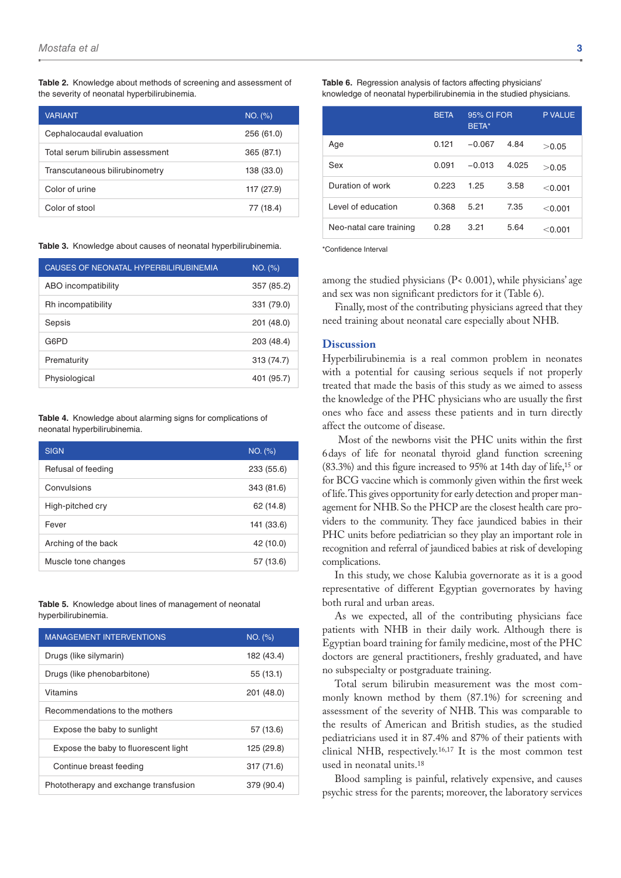**Table 2.** Knowledge about methods of screening and assessment of the severity of neonatal hyperbilirubinemia.

| <b>VARIANT</b>                   | NO. (%)    |
|----------------------------------|------------|
| Cephalocaudal evaluation         | 256 (61.0) |
| Total serum bilirubin assessment | 365 (87.1) |
| Transcutaneous bilirubinometry   | 138 (33.0) |
| Color of urine                   | 117 (27.9) |
| Color of stool                   | 77 (18.4)  |

**Table 3.** Knowledge about causes of neonatal hyperbilirubinemia.

| CAUSES OF NEONATAL HYPERBILIRUBINEMIA | NO. (%)    |
|---------------------------------------|------------|
| ABO incompatibility                   | 357 (85.2) |
| Rh incompatibility                    | 331 (79.0) |
| Sepsis                                | 201 (48.0) |
| G6PD                                  | 203 (48.4) |
| Prematurity                           | 313 (74.7) |
| Physiological                         | 401 (95.7) |

**Table 4.** Knowledge about alarming signs for complications of neonatal hyperbilirubinemia.

| <b>SIGN</b>         | NO. (%)    |
|---------------------|------------|
| Refusal of feeding  | 233 (55.6) |
| Convulsions         | 343 (81.6) |
| High-pitched cry    | 62 (14.8)  |
| Fever               | 141 (33.6) |
| Arching of the back | 42 (10.0)  |
| Muscle tone changes | 57 (13.6)  |

#### **Table 5.** Knowledge about lines of management of neonatal hyperbilirubinemia.

| <b>MANAGEMENT INTERVENTIONS</b>       | NO. (%)    |
|---------------------------------------|------------|
| Drugs (like silymarin)                | 182 (43.4) |
| Drugs (like phenobarbitone)           | 55 (13.1)  |
| Vitamins                              | 201 (48.0) |
| Recommendations to the mothers        |            |
| Expose the baby to sunlight           | 57 (13.6)  |
| Expose the baby to fluorescent light  | 125 (29.8) |
| Continue breast feeding               | 317 (71.6) |
| Phototherapy and exchange transfusion | 379 (90.4) |

|                         | <b>BETA</b> | 95% CI FOR<br>BETA* |       | P VALUE.  |
|-------------------------|-------------|---------------------|-------|-----------|
| Age                     | 0.121       | $-0.067$            | 4.84  | >0.05     |
| Sex                     | 0.091       | $-0.013$            | 4.025 | >0.05     |
| Duration of work        | 0.223       | 1.25                | 3.58  | < 0.001   |
| Level of education      | 0.368       | 5.21                | 7.35  | < 0.001   |
| Neo-natal care training | 0.28        | 3.21                | 5.64  | $<$ 0.001 |

\*Confidence Interval

among the studied physicians (P< 0.001), while physicians' age and sex was non significant predictors for it (Table 6).

Finally, most of the contributing physicians agreed that they need training about neonatal care especially about NHB.

### **Discussion**

Hyperbilirubinemia is a real common problem in neonates with a potential for causing serious sequels if not properly treated that made the basis of this study as we aimed to assess the knowledge of the PHC physicians who are usually the first ones who face and assess these patients and in turn directly affect the outcome of disease.

 Most of the newborns visit the PHC units within the first 6days of life for neonatal thyroid gland function screening (83.3%) and this figure increased to 95% at 14th day of life,15 or for BCG vaccine which is commonly given within the first week of life. This gives opportunity for early detection and proper management for NHB. So the PHCP are the closest health care providers to the community. They face jaundiced babies in their PHC units before pediatrician so they play an important role in recognition and referral of jaundiced babies at risk of developing complications.

In this study, we chose Kalubia governorate as it is a good representative of different Egyptian governorates by having both rural and urban areas.

As we expected, all of the contributing physicians face patients with NHB in their daily work. Although there is Egyptian board training for family medicine, most of the PHC doctors are general practitioners, freshly graduated, and have no subspecialty or postgraduate training.

Total serum bilirubin measurement was the most commonly known method by them (87.1%) for screening and assessment of the severity of NHB. This was comparable to the results of American and British studies, as the studied pediatricians used it in 87.4% and 87% of their patients with clinical NHB, respectively.16,17 It is the most common test used in neonatal units.18

Blood sampling is painful, relatively expensive, and causes psychic stress for the parents; moreover, the laboratory services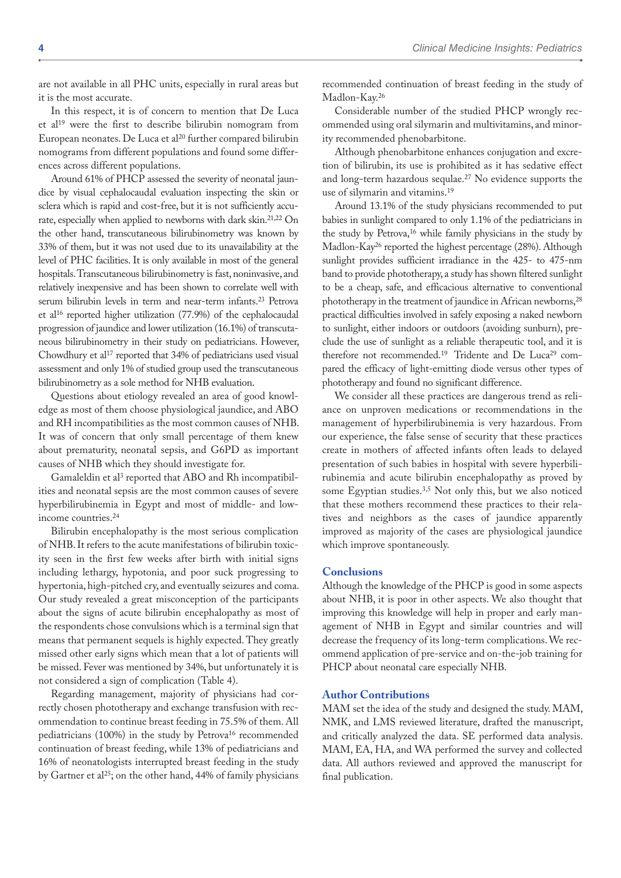are not available in all PHC units, especially in rural areas but it is the most accurate.

In this respect, it is of concern to mention that De Luca et al19 were the first to describe bilirubin nomogram from European neonates. De Luca et al<sup>20</sup> further compared bilirubin nomograms from different populations and found some differences across different populations.

Around 61% of PHCP assessed the severity of neonatal jaundice by visual cephalocaudal evaluation inspecting the skin or sclera which is rapid and cost-free, but it is not sufficiently accurate, especially when applied to newborns with dark skin.21,22 On the other hand, transcutaneous bilirubinometry was known by 33% of them, but it was not used due to its unavailability at the level of PHC facilities. It is only available in most of the general hospitals. Transcutaneous bilirubinometry is fast, noninvasive, and relatively inexpensive and has been shown to correlate well with serum bilirubin levels in term and near-term infants.<sup>23</sup> Petrova et al16 reported higher utilization (77.9%) of the cephalocaudal progression of jaundice and lower utilization (16.1%) of transcutaneous bilirubinometry in their study on pediatricians. However, Chowdhury et al<sup>17</sup> reported that 34% of pediatricians used visual assessment and only 1% of studied group used the transcutaneous bilirubinometry as a sole method for NHB evaluation.

Questions about etiology revealed an area of good knowledge as most of them choose physiological jaundice, and ABO and RH incompatibilities as the most common causes of NHB. It was of concern that only small percentage of them knew about prematurity, neonatal sepsis, and G6PD as important causes of NHB which they should investigate for.

Gamaleldin et al<sup>3</sup> reported that ABO and Rh incompatibilities and neonatal sepsis are the most common causes of severe hyperbilirubinemia in Egypt and most of middle- and lowincome countries.24

Bilirubin encephalopathy is the most serious complication of NHB. It refers to the acute manifestations of bilirubin toxicity seen in the first few weeks after birth with initial signs including lethargy, hypotonia, and poor suck progressing to hypertonia, high-pitched cry, and eventually seizures and coma. Our study revealed a great misconception of the participants about the signs of acute bilirubin encephalopathy as most of the respondents chose convulsions which is a terminal sign that means that permanent sequels is highly expected. They greatly missed other early signs which mean that a lot of patients will be missed. Fever was mentioned by 34%, but unfortunately it is not considered a sign of complication (Table 4).

Regarding management, majority of physicians had correctly chosen phototherapy and exchange transfusion with recommendation to continue breast feeding in 75.5% of them. All pediatricians (100%) in the study by Petrova<sup>16</sup> recommended continuation of breast feeding, while 13% of pediatricians and 16% of neonatologists interrupted breast feeding in the study by Gartner et al<sup>25</sup>; on the other hand, 44% of family physicians recommended continuation of breast feeding in the study of Madlon-Kay.26

Considerable number of the studied PHCP wrongly recommended using oral silymarin and multivitamins, and minority recommended phenobarbitone.

Although phenobarbitone enhances conjugation and excretion of bilirubin, its use is prohibited as it has sedative effect and long-term hazardous sequlae.27 No evidence supports the use of silymarin and vitamins.19

Around 13.1% of the study physicians recommended to put babies in sunlight compared to only 1.1% of the pediatricians in the study by Petrova,16 while family physicians in the study by Madlon-Kay26 reported the highest percentage (28%). Although sunlight provides sufficient irradiance in the 425- to 475-nm band to provide phototherapy, a study has shown filtered sunlight to be a cheap, safe, and efficacious alternative to conventional phototherapy in the treatment of jaundice in African newborns,<sup>28</sup> practical difficulties involved in safely exposing a naked newborn to sunlight, either indoors or outdoors (avoiding sunburn), preclude the use of sunlight as a reliable therapeutic tool, and it is therefore not recommended.<sup>19</sup> Tridente and De Luca<sup>29</sup> compared the efficacy of light-emitting diode versus other types of phototherapy and found no significant difference.

We consider all these practices are dangerous trend as reliance on unproven medications or recommendations in the management of hyperbilirubinemia is very hazardous. From our experience, the false sense of security that these practices create in mothers of affected infants often leads to delayed presentation of such babies in hospital with severe hyperbilirubinemia and acute bilirubin encephalopathy as proved by some Egyptian studies.<sup>3,5</sup> Not only this, but we also noticed that these mothers recommend these practices to their relatives and neighbors as the cases of jaundice apparently improved as majority of the cases are physiological jaundice which improve spontaneously.

# **Conclusions**

Although the knowledge of the PHCP is good in some aspects about NHB, it is poor in other aspects. We also thought that improving this knowledge will help in proper and early management of NHB in Egypt and similar countries and will decrease the frequency of its long-term complications. We recommend application of pre-service and on-the-job training for PHCP about neonatal care especially NHB.

# **Author Contributions**

MAM set the idea of the study and designed the study. MAM, NMK, and LMS reviewed literature, drafted the manuscript, and critically analyzed the data. SE performed data analysis. MAM, EA, HA, and WA performed the survey and collected data. All authors reviewed and approved the manuscript for final publication.